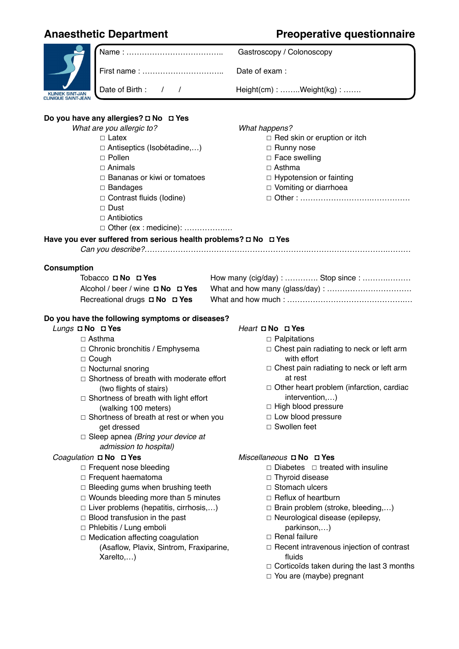# **Anaesthetic Department Preoperative questionnaire**

|                                                                 |                                                                      | Gastroscopy / Colonoscopy                           |  |  |  |  |  |  |  |
|-----------------------------------------------------------------|----------------------------------------------------------------------|-----------------------------------------------------|--|--|--|--|--|--|--|
|                                                                 |                                                                      | Date of exam :                                      |  |  |  |  |  |  |  |
| KLINIEK SINT-JAN<br><b>CLINIQUE SAINT-JEAN</b>                  | Date of Birth: / /                                                   | Height(cm): Weight(kg):                             |  |  |  |  |  |  |  |
| Do you have any allergies? D No D Yes                           |                                                                      |                                                     |  |  |  |  |  |  |  |
|                                                                 | What are you allergic to?                                            | What happens?                                       |  |  |  |  |  |  |  |
|                                                                 | $\Box$ Latex                                                         | $\Box$ Red skin or eruption or itch                 |  |  |  |  |  |  |  |
|                                                                 | $\Box$ Antiseptics (Isobétadine,)                                    | □ Runny nose                                        |  |  |  |  |  |  |  |
|                                                                 | $\Box$ Pollen                                                        | □ Face swelling                                     |  |  |  |  |  |  |  |
|                                                                 | $\Box$ Animals                                                       | $\Box$ Asthma                                       |  |  |  |  |  |  |  |
|                                                                 | $\Box$ Bananas or kiwi or tomatoes                                   | □ Hypotension or fainting                           |  |  |  |  |  |  |  |
|                                                                 | $\Box$ Bandages                                                      | □ Vomiting or diarrhoea                             |  |  |  |  |  |  |  |
|                                                                 | $\Box$ Contrast fluids (lodine)                                      |                                                     |  |  |  |  |  |  |  |
|                                                                 | $\Box$ Dust                                                          |                                                     |  |  |  |  |  |  |  |
|                                                                 | $\Box$ Antibiotics                                                   |                                                     |  |  |  |  |  |  |  |
|                                                                 | □ Other (ex : medicine):                                             |                                                     |  |  |  |  |  |  |  |
| Have you ever suffered from serious health problems? D No D Yes |                                                                      |                                                     |  |  |  |  |  |  |  |
|                                                                 |                                                                      |                                                     |  |  |  |  |  |  |  |
| <b>Consumption</b>                                              |                                                                      |                                                     |  |  |  |  |  |  |  |
|                                                                 | Tobacco <b>D No D Yes</b>                                            | How many (cig/day) :  Stop since :                  |  |  |  |  |  |  |  |
|                                                                 | Alcohol / beer / wine D No D Yes                                     |                                                     |  |  |  |  |  |  |  |
|                                                                 | Recreational drugs D No D Yes                                        |                                                     |  |  |  |  |  |  |  |
|                                                                 |                                                                      |                                                     |  |  |  |  |  |  |  |
|                                                                 | Do you have the following symptoms or diseases?                      |                                                     |  |  |  |  |  |  |  |
| Lungs D No D Yes                                                |                                                                      | Heart $\square$ No $\square$ Yes                    |  |  |  |  |  |  |  |
|                                                                 | $\Box$ Asthma                                                        | $\Box$ Palpitations                                 |  |  |  |  |  |  |  |
|                                                                 | □ Chronic bronchitis / Emphysema                                     | □ Chest pain radiating to neck or left arm          |  |  |  |  |  |  |  |
|                                                                 | $\Box$ Cough                                                         | with effort                                         |  |  |  |  |  |  |  |
|                                                                 | □ Nocturnal snoring                                                  | $\Box$ Chest pain radiating to neck or left arm     |  |  |  |  |  |  |  |
|                                                                 | $\Box$ Shortness of breath with moderate effort                      | at rest<br>Other heart problem (infarction, cardiac |  |  |  |  |  |  |  |
|                                                                 | (two flights of stairs)                                              | intervention,)                                      |  |  |  |  |  |  |  |
|                                                                 | $\Box$ Shortness of breath with light effort<br>(walking 100 meters) | □ High blood pressure                               |  |  |  |  |  |  |  |
|                                                                 | $\Box$ Shortness of breath at rest or when you                       | □ Low blood pressure                                |  |  |  |  |  |  |  |
|                                                                 | get dressed                                                          | □ Swollen feet                                      |  |  |  |  |  |  |  |
|                                                                 | $\Box$ Sleep apnea (Bring your device at                             |                                                     |  |  |  |  |  |  |  |
|                                                                 | admission to hospital)                                               |                                                     |  |  |  |  |  |  |  |
|                                                                 | Coagulation D No D Yes                                               | Miscellaneous D No D Yes                            |  |  |  |  |  |  |  |
|                                                                 | $\Box$ Frequent nose bleeding                                        | $\Box$ Diabetes $\Box$ treated with insuline        |  |  |  |  |  |  |  |
|                                                                 | $\Box$ Frequent haematoma                                            | $\Box$ Thyroid disease                              |  |  |  |  |  |  |  |
|                                                                 | $\Box$ Bleeding gums when brushing teeth                             | □ Stomach ulcers                                    |  |  |  |  |  |  |  |
|                                                                 | $\Box$ Wounds bleeding more than 5 minutes                           | $\Box$ Reflux of heartburn                          |  |  |  |  |  |  |  |
|                                                                 | $\Box$ Liver problems (hepatitis, cirrhosis,)                        | $\Box$ Brain problem (stroke, bleeding,)            |  |  |  |  |  |  |  |
|                                                                 | $\Box$ Blood transfusion in the past                                 | □ Neurological disease (epilepsy,                   |  |  |  |  |  |  |  |
|                                                                 | □ Phlebitis / Lung emboli                                            | parkinson,)                                         |  |  |  |  |  |  |  |
|                                                                 | □ Medication affecting coagulation                                   | $\Box$ Renal failure                                |  |  |  |  |  |  |  |
|                                                                 | (Asaflow, Plavix, Sintrom, Fraxiparine,                              | $\Box$ Recent intravenous injection of contrast     |  |  |  |  |  |  |  |
|                                                                 | Xarelto,)                                                            | fluids                                              |  |  |  |  |  |  |  |
|                                                                 |                                                                      | $\Box$ Corticoïds taken during the last 3 months    |  |  |  |  |  |  |  |
|                                                                 |                                                                      | $\Box$ You are (maybe) pregnant                     |  |  |  |  |  |  |  |